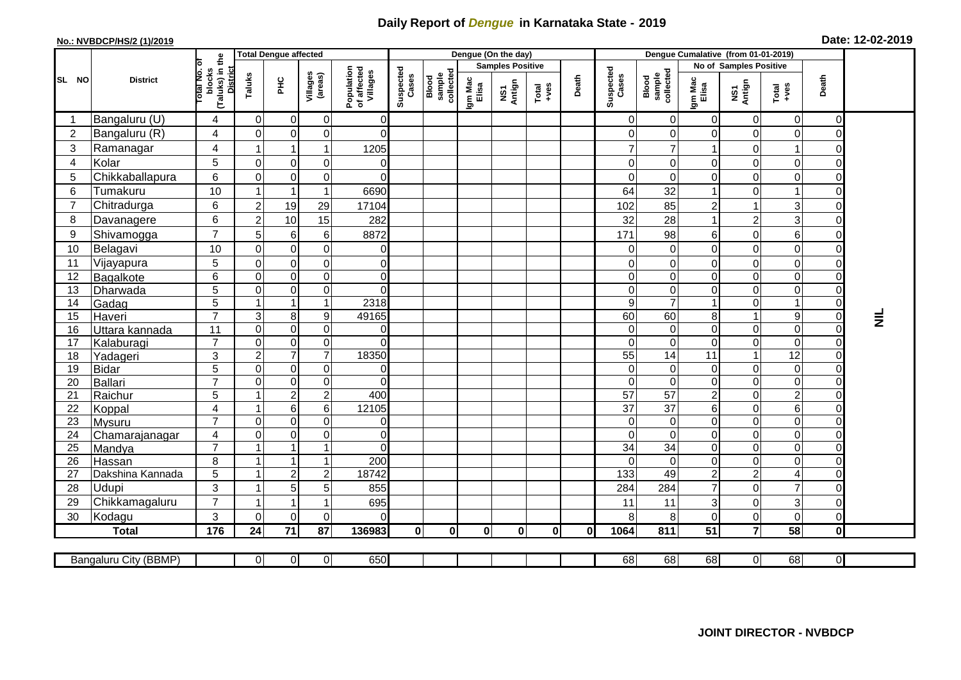## **Daily Report of** *Dengue* **in Karnataka State - 2019**

## **No.: NVBDCP/HS/2 (1)/2019**

|  | Date: 12-02-2019 |  |  |
|--|------------------|--|--|
|--|------------------|--|--|

|                |                          |                                                          | <b>Total Dengue affected</b> |                          |                     |                                       |                    | Dengue (On the day)          |                  |                         |               |       |                      |                                     |                                |                          |                                    |                     |                 |
|----------------|--------------------------|----------------------------------------------------------|------------------------------|--------------------------|---------------------|---------------------------------------|--------------------|------------------------------|------------------|-------------------------|---------------|-------|----------------------|-------------------------------------|--------------------------------|--------------------------|------------------------------------|---------------------|-----------------|
|                |                          | ъ                                                        |                              |                          |                     |                                       |                    |                              |                  | <b>Samples Positive</b> |               |       |                      |                                     |                                | No of Samples Positive   |                                    |                     |                 |
| SL NO          | <b>District</b>          | (Taluks) in the<br><b>District</b><br>blocks<br>otal No. | Taluks                       | <b>PHC</b>               | Villages<br>(areas) | Population<br>of affected<br>Villages | Suspected<br>Cases | sample<br>collected<br>Blood | Igm Mac<br>Elisa | NS1<br>Antign           | Total<br>+ves | Death | Suspected<br>Cases   | Blood<br>sample<br>collected        | Igm Mac<br>Elisa               | NS1<br>Antign            | Total<br>+ves                      | Death               |                 |
|                | Bangaluru (U)            | 4                                                        | $\mathbf 0$                  | $\overline{0}$           | $\pmb{0}$           | 0                                     |                    |                              |                  |                         |               |       | 0                    | 0                                   | $\pmb{0}$                      | $\mathbf 0$              | $\mathbf 0$                        | 0                   |                 |
| $\overline{2}$ | Bangaluru (R)            | 4                                                        | $\Omega$                     | $\Omega$                 | $\mathbf 0$         | $\Omega$                              |                    |                              |                  |                         |               |       | 0                    | 0                                   | $\mathbf 0$                    | $\Omega$                 | $\mathbf 0$                        | 0                   |                 |
| 3              | Ramanagar                | 4                                                        |                              | 1                        | $\overline{1}$      | 1205                                  |                    |                              |                  |                         |               |       | $\overline{7}$       | 7                                   |                                | $\Omega$                 |                                    | 0                   |                 |
| 4              | Kolar                    | 5                                                        | $\Omega$                     | $\Omega$                 | 0                   | 0                                     |                    |                              |                  |                         |               |       | $\Omega$             | 0                                   | 0                              | 0                        | $\overline{0}$                     | 0                   |                 |
| 5              | Chikkaballapura          | 6                                                        | 0                            | $\overline{0}$           | $\mathbf 0$         | $\Omega$                              |                    |                              |                  |                         |               |       | $\Omega$             | $\Omega$                            | $\mathbf 0$                    | 0                        | $\overline{O}$                     | 0                   |                 |
| 6              | Tumakuru                 | 10                                                       | -1                           | $\mathbf{1}$             | $\overline{1}$      | 6690                                  |                    |                              |                  |                         |               |       | 64                   | 32                                  | $\mathbf{1}$                   | 0                        |                                    | 0                   |                 |
| $\overline{7}$ | Chitradurga              | 6                                                        | $\overline{c}$               | 19                       | 29                  | 17104                                 |                    |                              |                  |                         |               |       | 102                  | 85                                  | $\overline{c}$                 |                          | 3                                  | 0                   |                 |
| 8              | Davanagere               | 6                                                        | $\overline{c}$               | 10                       | 15                  | 282                                   |                    |                              |                  |                         |               |       | 32                   | 28                                  |                                | $\overline{2}$           | 3                                  | $\overline{0}$      |                 |
| 9              | Shivamogga               | $\overline{7}$                                           | 5                            | $6 \mid$                 | 6                   | 8872                                  |                    |                              |                  |                         |               |       | 171                  | 98                                  | 6                              | $\mathbf 0$              | $\,6$                              | 0                   |                 |
| 10             | Belagavi                 | 10                                                       | $\mathbf{0}$                 | $\Omega$                 | $\overline{0}$      | $\mathbf 0$                           |                    |                              |                  |                         |               |       | $\overline{0}$       | $\Omega$                            | $\mathbf 0$                    | $\Omega$                 | $\mathbf 0$                        | 0                   |                 |
| 11             | Vijayapura               | 5                                                        | $\Omega$                     | $\Omega$                 | 0                   | $\mathbf 0$                           |                    |                              |                  |                         |               |       | $\overline{O}$       | 0                                   | $\mathbf 0$                    | $\Omega$                 | $\Omega$                           | $\overline{0}$      |                 |
| 12             | Bagalkote                | 6                                                        | $\mathbf 0$                  | $\overline{0}$           | $\mathsf{O}\xspace$ | $\mathbf 0$                           |                    |                              |                  |                         |               |       | $\overline{0}$       | $\mathbf 0$                         | $\pmb{0}$                      | $\mathbf 0$              | $\mathbf 0$                        | 0                   |                 |
| 13             | Dharwada                 | 5                                                        | $\Omega$                     | $\Omega$                 | $\mathbf 0$         | $\overline{0}$                        |                    |                              |                  |                         |               |       | $\overline{0}$       | $\mathbf 0$                         | $\mathbf 0$                    | $\Omega$                 | $\mathbf 0$                        | 0                   |                 |
| 14             | Gadag                    | $\overline{5}$                                           | 1                            | $\mathbf{1}$             | $\mathbf{1}$        | 2318                                  |                    |                              |                  |                         |               |       | 9                    | $\overline{7}$                      | $\mathbf{1}$                   | $\mathbf 0$              | $\mathbf{1}$                       | $\overline{0}$      |                 |
| 15             | Haveri                   | $\overline{7}$                                           | 3                            | 8 <sup>1</sup>           | $\boldsymbol{9}$    | 49165                                 |                    |                              |                  |                         |               |       | 60                   | 60                                  | 8                              |                          | $\boldsymbol{9}$                   | $\mathsf 0$         | $\bar{\bar{z}}$ |
| 16             | Uttara kannada           | $\overline{11}$                                          | $\Omega$                     | $\Omega$                 | $\mathbf 0$         | $\mathbf 0$                           |                    |                              |                  |                         |               |       | $\overline{0}$       | $\Omega$                            | $\mathbf 0$                    | $\Omega$                 | $\mathbf 0$                        | O                   |                 |
| 17             | Kalaburagi               | $\overline{7}$                                           | $\Omega$                     | $\overline{0}$           | $\mathbf 0$         | $\overline{0}$                        |                    |                              |                  |                         |               |       | 0                    | 0                                   | $\mathbf 0$                    | $\mathbf 0$              | $\mathsf{O}\xspace$                | 0                   |                 |
| 18             | Yadageri                 | 3                                                        | $\overline{2}$               | $\overline{7}$           | $\overline{7}$      | 18350                                 |                    |                              |                  |                         |               |       | 55                   | 14                                  | 11                             | $\overline{\phantom{a}}$ | 12                                 | $\overline{0}$      |                 |
| 19             | <b>Bidar</b>             | $\overline{5}$                                           | $\Omega$                     | $\overline{0}$           | 0                   | $\mathbf 0$                           |                    |                              |                  |                         |               |       | 0                    | $\Omega$                            | $\mathbf 0$                    | $\Omega$                 | $\pmb{0}$                          | $\overline{0}$      |                 |
| 20             | Ballari                  | $\overline{7}$                                           | 0                            | $\overline{0}$           | $\pmb{0}$           | 0                                     |                    |                              |                  |                         |               |       | $\mathsf 0$          | $\mathbf 0$                         | 0                              | $\mathbf 0$              | $\pmb{0}$                          | 0                   |                 |
| 21             | Raichur                  | 5                                                        |                              | $\overline{2}$           | $\overline{2}$      | 400                                   |                    |                              |                  |                         |               |       | 57                   | 57                                  | $\sqrt{2}$                     | $\Omega$                 | $\overline{2}$                     | $\mathbf 0$         |                 |
| 22             | Koppal                   | 4<br>$\overline{7}$                                      | $\mathbf 0$                  | $6 \,$<br>$\overline{0}$ | 6<br>$\overline{0}$ | 12105<br>$\mathbf 0$                  |                    |                              |                  |                         |               |       | 37<br>$\overline{0}$ | $\overline{37}$<br>$\boldsymbol{0}$ | $\,6\,$<br>$\mathsf{O}\xspace$ | $\Omega$<br>$\mathbf 0$  | $\,6\,$<br>$\overline{\mathsf{o}}$ | $\overline{0}$<br>0 |                 |
| 23<br>24       | <b>Mysuru</b>            | 4                                                        | $\Omega$                     | $\overline{0}$           | $\mathbf 0$         | 0                                     |                    |                              |                  |                         |               |       | $\overline{0}$       | $\Omega$                            | $\mathbf 0$                    | $\mathbf 0$              | $\mathsf{O}\xspace$                | $\overline{0}$      |                 |
| 25             | Chamarajanagar<br>Mandya | $\overline{7}$                                           |                              | $\mathbf{1}$             | 1                   | $\Omega$                              |                    |                              |                  |                         |               |       | 34                   | $\overline{34}$                     | $\mathbf 0$                    | $\Omega$                 | $\mathbf 0$                        | $\overline{0}$      |                 |
| 26             | Hassan                   | 8                                                        |                              | $\mathbf{1}$             | 1                   | 200                                   |                    |                              |                  |                         |               |       | $\Omega$             | $\Omega$                            | $\mathbf 0$                    | $\Omega$                 | 0                                  | $\mathbf 0$         |                 |
| 27             | Dakshina Kannada         | 5                                                        | -1                           | 2 <sup>1</sup>           | $\overline{c}$      | 18742                                 |                    |                              |                  |                         |               |       | 133                  | 49                                  | $\overline{c}$                 | $\overline{2}$           | 4                                  | $\overline{0}$      |                 |
| 28             | Udupi                    | 3                                                        | -1                           | 5 <sup>1</sup>           | 5                   | 855                                   |                    |                              |                  |                         |               |       | 284                  | 284                                 | $\overline{7}$                 | $\Omega$                 | $\overline{7}$                     | 0                   |                 |
| 29             | Chikkamagaluru           | $\overline{7}$                                           | -1                           | $\overline{1}$           | 1                   | 695                                   |                    |                              |                  |                         |               |       | 11                   | 11                                  | 3                              | $\Omega$                 | 3                                  | 0                   |                 |
| 30             | Kodagu                   | 3                                                        | $\Omega$                     | $\Omega$                 | $\Omega$            | $\Omega$                              |                    |                              |                  |                         |               |       | 8                    | 8                                   | $\mathbf 0$                    | 0                        | $\mathbf 0$                        | $\mathbf 0$         |                 |
|                | <b>Total</b>             | 176                                                      | 24                           | $\overline{71}$          | 87                  | 136983                                | $\mathbf 0$        | $\mathbf{0}$                 | $\bf{0}$         | $\mathbf 0$             | $\mathbf{0}$  | 0     | 1064                 | 811                                 | $\overline{51}$                | $\overline{7}$           | 58                                 | $\mathbf{0}$        |                 |
|                |                          |                                                          |                              |                          |                     |                                       |                    |                              |                  |                         |               |       |                      |                                     |                                |                          |                                    |                     |                 |
|                | Bangaluru City (BBMP)    |                                                          | $\overline{0}$               | $\overline{0}$           | $\overline{0}$      | 650                                   |                    |                              |                  |                         |               |       | 68                   | 68                                  | $\overline{68}$                | 0                        | $\overline{68}$                    | $\overline{0}$      |                 |